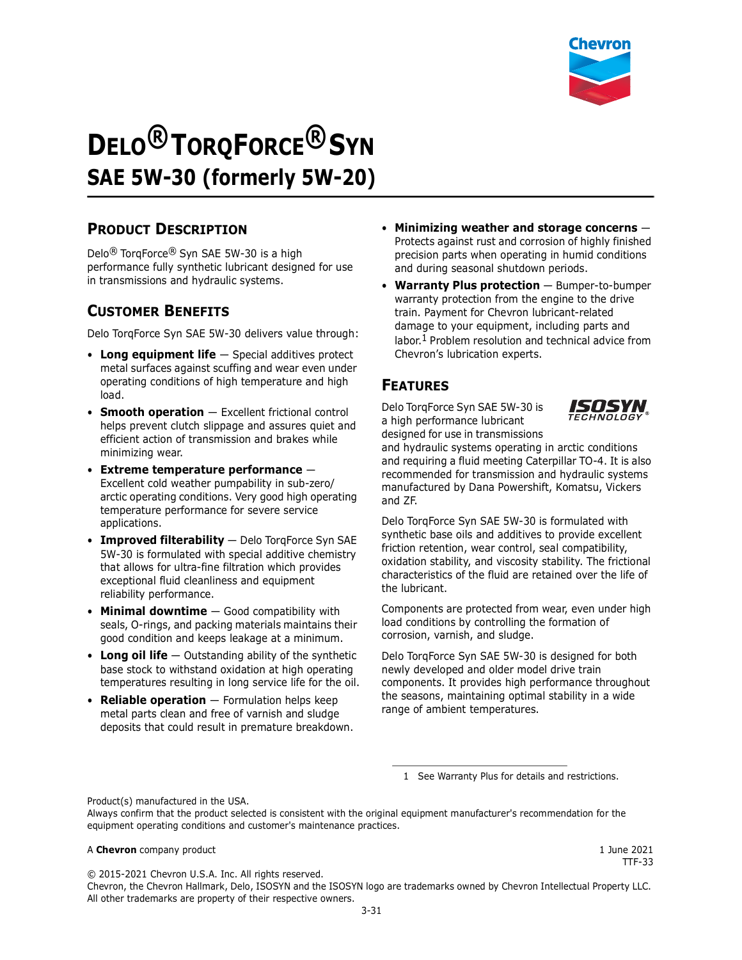

# **DELO® TORQFORCE® SYN SAE 5W-30 (formerly 5W-20)**

## **PRODUCT DESCRIPTION**

Delo® TorqForce® Syn SAE 5W-30 is a high performance fully synthetic lubricant designed for use in transmissions and hydraulic systems.

# **CUSTOMER BENEFITS**

Delo TorqForce Syn SAE 5W-30 delivers value through:

- **Long equipment life** Special additives protect metal surfaces against scuffing and wear even under operating conditions of high temperature and high load.
- **Smooth operation** Excellent frictional control helps prevent clutch slippage and assures quiet and efficient action of transmission and brakes while minimizing wear.
- **Extreme temperature performance** Excellent cold weather pumpability in sub-zero/ arctic operating conditions. Very good high operating temperature performance for severe service applications.
- **Improved filterability** Delo TorqForce Syn SAE 5W-30 is formulated with special additive chemistry that allows for ultra-fine filtration which provides exceptional fluid cleanliness and equipment reliability performance.
- **Minimal downtime** Good compatibility with seals, O-rings, and packing materials maintains their good condition and keeps leakage at a minimum.
- **Long oil life** Outstanding ability of the synthetic base stock to withstand oxidation at high operating temperatures resulting in long service life for the oil.
- **Reliable operation** Formulation helps keep metal parts clean and free of varnish and sludge deposits that could result in premature breakdown.
- **Minimizing weather and storage concerns** Protects against rust and corrosion of highly finished precision parts when operating in humid conditions and during seasonal shutdown periods.
- **Warranty Plus protection** Bumper-to-bumper warranty protection from the engine to the drive train. Payment for Chevron lubricant-related damage to your equipment, including parts and labor.<sup>1</sup> Problem resolution and technical advice from Chevron's lubrication experts.

# **FEATURES**

Delo TorqForce Syn SAE 5W-30 is a high performance lubricant designed for use in transmissions



and hydraulic systems operating in arctic conditions and requiring a fluid meeting Caterpillar TO-4. It is also recommended for transmission and hydraulic systems manufactured by Dana Powershift, Komatsu, Vickers and ZF.

Delo TorqForce Syn SAE 5W-30 is formulated with synthetic base oils and additives to provide excellent friction retention, wear control, seal compatibility, oxidation stability, and viscosity stability. The frictional characteristics of the fluid are retained over the life of the lubricant.

Components are protected from wear, even under high load conditions by controlling the formation of corrosion, varnish, and sludge.

Delo TorqForce Syn SAE 5W-30 is designed for both newly developed and older model drive train components. It provides high performance throughout the seasons, maintaining optimal stability in a wide range of ambient temperatures.

1 See Warranty Plus for details and restrictions.

Product(s) manufactured in the USA.

#### A **Chevron** company product 1 June 2021

© 2015-2021 Chevron U.S.A. Inc. All rights reserved.

TTF-33

Chevron, the Chevron Hallmark, Delo, ISOSYN and the ISOSYN logo are trademarks owned by Chevron Intellectual Property LLC. All other trademarks are property of their respective owners.

Always confirm that the product selected is consistent with the original equipment manufacturer's recommendation for the equipment operating conditions and customer's maintenance practices.